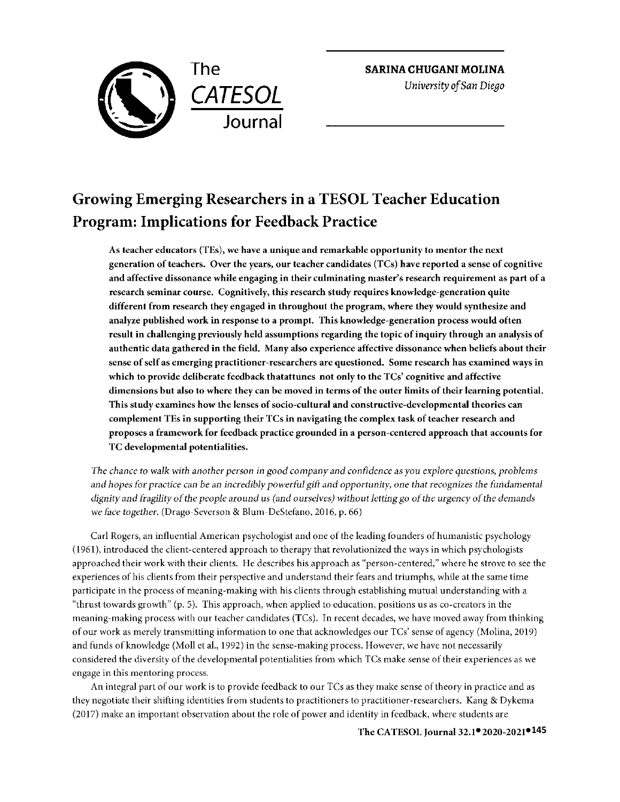

**SARINA CHUGANI MOLINA** 

*University of San Diego* 

# **Growing Emerging Researchers in a TESOL Teacher Education Program: Implications for Feedback Practice**

**As teacher educators (TEs), we have a unique and remarkable opportunity to mentor the next generation of teachers. Over the years, our teacher candidates (TCs) have reported a sense of cognitive and affective dissonance while engaging in their culminating master's research requirement as part of a research seminar course. Cognitively, this research study requires knowledge-generation quite different from research they engaged in throughout the program, where they would synthesize and analyze published work in response to a prompt. This knowledge-generation process would often result in challenging previously held assumptions regarding the topic of inquiry through an analysis of authentic data gathered in the field. Many also experience affective dissonance when beliefs about their sense of self as emerging practitioner-researchers are questioned. Some research has examined ways in which to provide deliberate feedback thatattunes not only to the TCs' cognitive and affective dimensions but also to where they can be moved in terms of the outer limits of their learning potential. This study examines how the lenses of socio-cultural and constructive-developmental theories can complement TEs in supporting their TCs in navigating the complex task of teacher research and proposes a framework for feedback practice grounded in a person-centered approach that accounts for TC developmental potentialities.** 

*The chance to walk with another person in good company* and *confidence as you explore questions, problems and hopes for practice can be an incredibly powerful gift and opportunity, one that recognizes the fundamental dignity and fragility of the people* around us *(and ourselves) without letting go of the urgency of the demands we face together.* (Drago-Severson & Blum-DeStefano, 2016, p. 66)

Carl Rogers, an influential American psychologist and one of the leading founders of humanistic psychology ( 1961 ), introduced the client-centered approach to therapy that revolutionized the ways in which psychologists approached their work with their clients. He describes his approach as "person-centered," where he strove to see the experiences of his clients from their perspective and understand their fears and triumphs, while at the same time participate in the process of meaning-making with his clients through establishing mutual understanding with a "thrust towards growth" (p. 5). This approach, when applied to education, positions us as co-creators in the meaning-making process with our teacher candidates (TCs). In recent decades, we have moved away from thinking of our work as merely transmitting information to one that acknowledges our TCs' sense of agency (Molina, 2019) and funds of knowledge (Moll et al., 1992) in the sense-making process. However, we have not necessarily considered the diversity of the developmental potentialities from which TCs make sense of their experiences as we engage in this mentoring process.

An integral part of our work is to provide feedback to our TCs as they make sense of theory in practice and as they negotiate their shifting identities from students to practitioners to practitioner-researchers. Kang & Dykema (2017) make an important observation about the role of power and identity in feedback, where students are

**● ●145 The CA TESOL Journal 32.1 2020-2021**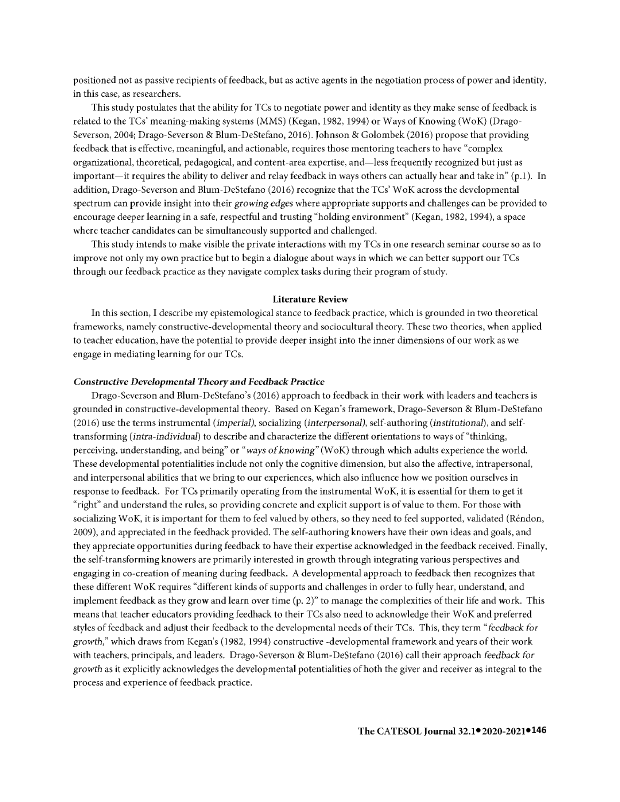positioned not as passive recipients of feedback, but as active agents in the negotiation process of power and identity, in this case, as researchers.

This study postulates that the ability for TCs to negotiate power and identity as they make sense of feedback is related to the TCs' meaning-making systems (MMS) (Kegan, 1982, 1994) or Ways of Knowing (WoK) (Drago-Severson, 2004; Drago-Severson & Blum-DeStefano, 2016). Johnson & Golombek (2016) propose that providing feedback that is effective, meaningful, and actionable, requires those mentoring teachers to have "complex organizational, theoretical, pedagogical, and content-area expertise, and-less frequently recognized but just as important—it requires the ability to deliver and relay feedback in ways others can actually hear and take in"  $(p,1)$ . In addition, Drago-Severson and Blum-DeStefano (2016) recognize that the TCs' WoK across the developmental spectrum can provide insight into their *growing edges* where appropriate supports and challenges can be provided to encourage deeper learning in a safe, respectful and trusting "holding environment" (Kegan, 1982, 1994), a space where teacher candidates can be simultaneously supported and challenged.

This study intends to make visible the private interactions with my TCs in one research seminar course so as to improve not only my own practice but to begin a dialogue about ways in which we can better support our TCs through our feedback practice as they navigate complex tasks during their program of study.

#### **Literature Review**

In this section, I describe my epistemological stance to feedback practice, which is grounded in two theoretical frameworks, namely constructive-developmental theory and sociocultural theory. These two theories, when applied to teacher education, have the potential to provide deeper insight into the inner dimensions of our work as we engage in mediating learning for our TCs.

#### *Constructive Developmental Theory and Feedback Practice*

Drago-Severson and Blum-DeStefano *'s* (2016) approach to feedback in their work with leaders and teachers *is*  grounded in constructive-developmental theory. Based on Kegan's framework, Drago-Severson & Blum-DeStefano (2016) use the terms instrumental *(imperial),* socializing *(interpersonal),* self-authoring *(institutional),* and selftransforming *(intra-individual)* to describe and characterize the different orientations to ways of"thinking, perceiving, understanding, and being" or "ways of knowing" (WoK) through which adults experience the world. These developmental potentialities include not only the cognitive dimension, but also the affective, intrapersonal, and interpersonal abilities that we bring to our experiences, which also influence how we position ourselves in response to feedback. For TCs primarily operating from the instrumental WoK, it is essential for them to get it "right" and understand the rules, so providing concrete and explicit support is of value to them. For those with socializing WoK, it is important for them to feel valued by others, so they need to feel supported, validated (Réndon, 2009), and appreciated in the feedback provided. The self-authoring knowers have their own ideas and goals, and they appreciate opportunities during feedback to have their expertise acknowledged in the feedback received. Finally, the self-transforming knowers are primarily interested in growth through integrating various perspectives and engaging in co-creation of meaning during feedback. A developmental approach to feedback then recognizes that these different WoK requires "different kinds of supports and challenges in order to fully hear, understand, and implement feedback as they grow and learn over time (p. 2)" to manage the complexities of their life and work. This means that teacher educators providing feedback to their TCs also need to acknowledge their WoK and preferred styles of feedback and adjust their feedback to the developmental needs of their TCs. This, they term "feedback for *growth,"* which draws from Kegan 's (1982, 1994) constructive -developmental framework and years of their work with teachers, principals, and leaders. Drago-Severson & Blum-DeStefano (2016) call their approach feedback for *growth* as it explicitly acknowledges the developmental potentialities of both the giver and receiver as integral to the process and experience of feedback practice.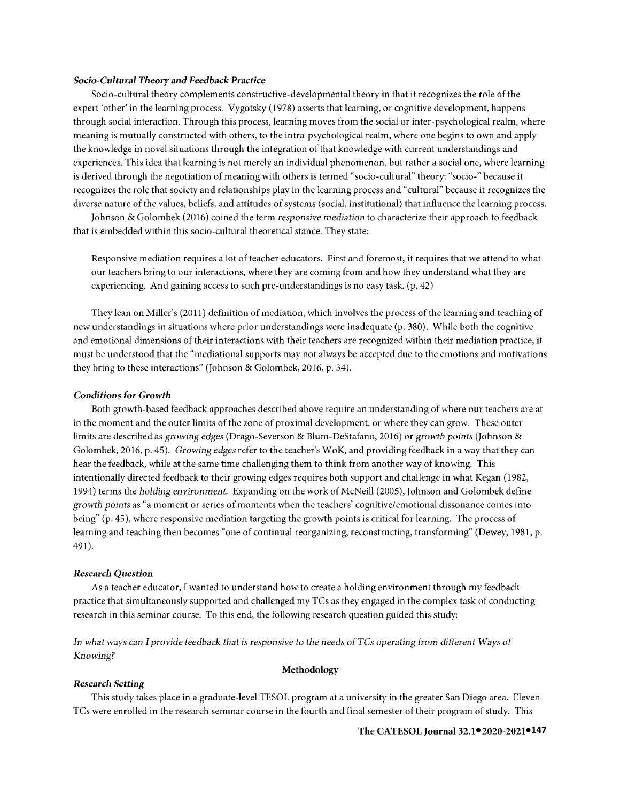#### *Socio-Cultural Theory* **and** *Feedback Practice*

Socio-cultural theory complements constructive-developmental theory in that it recognizes the role of the expert 'other' in the learning process. Vygotsky (1978) asserts that learning, or cognitive development, happens through social interaction. Through this process, learning moves from the social or inter-psychological realm, where meaning is mutually constructed with others, to the intra-psychological realm, where one begins to own and apply the knowledge in novel situations through the integration of that knowledge with current understandings and experiences. This idea that learning is not merely an individual phenomenon, but rather a social one, where learning is derived through the negotiation of meaning with others is termed "socio-cultural" theory: "socio-" because it recognizes the role that society and relationships play in the learning process and "cultural" because it recognizes the diverse nature of the values, beliefs, and attitudes of systems (social, institutional) that influence the learning process.

Johnson & Golombek (2016) coined the term *responsive mediation* to characterize their approach to feedback that is embedded within this socio-cultural theoretical stance. They state:

Responsive mediation requires a lot of teacher educators. First and foremost, it requires that we attend to what our teachers bring to our interactions, where they are coming from and how they understand what they are experiencing. And gaining access to such pre-understandings is no easy task. (p. 42)

They lean on Miller's (2011) definition of mediation, which involves the process of the learning and teaching of new understandings in situations where prior understandings were inadequate (p. 380). While both the cognitive and emotional dimensions of their interactions with their teachers are recognized within their mediation practice, it must be understood that the "mediational supports may not always be accepted due to the emotions and motivations they bring to these interactions" (Johnson & Golombek, 2016, p. 34).

#### **Conditions** *for Growth*

Both growth-based feedback approaches described above require an understanding of where our teachers are at in the moment and the outer limits of the zone of proximal development, or where they can grow. These outer limits are described as *growing edges* (Drago-Severson & Blum-DeStafano, 2016) or *growth points* (Johnson & Golombek, 2016, p. 45). *Growing edges* refer to the teacher's WoK, and providing feedback in a way that they can hear the feedback, while at the same time challenging them to think from another way of knowing. This intentionally directed feedback to their growing edges requires both support and challenge in what Kegan (1982, 1994) terms the *holding environment.* Expanding on the work of McNeill (2005), Johnson and Golombek define *growth points* as "a moment or series of moments when the teachers' cognitive/emotional dissonance comes into being" (p. 45), where responsive mediation targeting the growth points is critical for learning. The process of learning and teaching then becomes "one of continual reorganizing, reconstructing, transforming" (Dewey, 1981, p. 491).

#### *Research* **Question**

As a teacher educator, I wanted to understand how to create a holding environment through my feedback practice that simultaneously supported and challenged my TCs as they engaged in the complex task of conducting research in this seminar course. To this end, the following research question guided this study:

*In what ways* can *I provide feedback that is responsive to the* needs *ofTCs operating from* different *Ways of Knowing?* 

## **Methodology**

### *Research Setting*

This study takes place in a graduate-level TESOL program at a university in the greater San Diego area. Eleven TCs were enrolled in the research seminar course in the fourth and final semester of their program of study. This

#### **● ●147 The CATESOL Journal** 32.1 **2020-2021**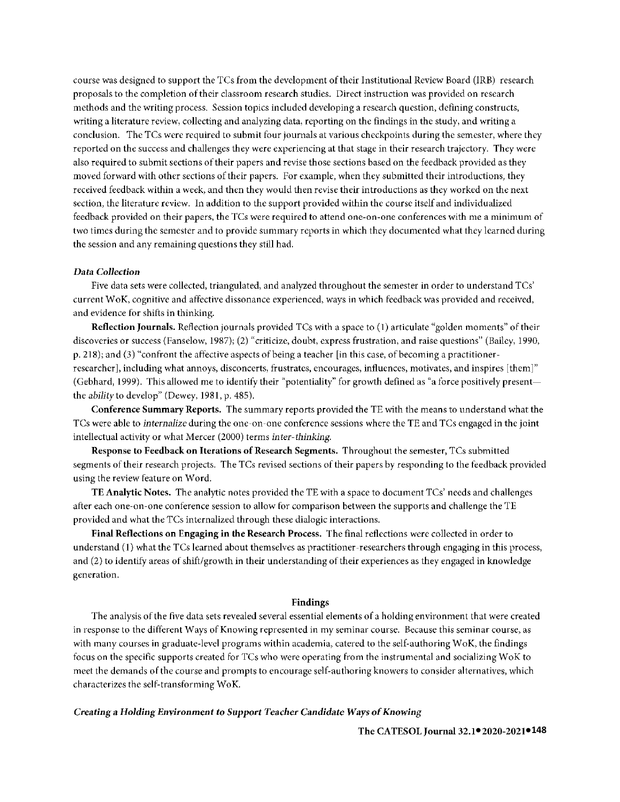course was designed to support the TCs from the development of their Institutional Review Board (IRE) research proposals to the completion of their classroom research studies. Direct instruction was provided on research methods and the writing process. Session topics included developing a research question, defining constructs, writing a literature review, collecting and analyzing data, reporting on the findings in the study, and writing a conclusion. The TCs were required to submit four journals at various checkpoints during the semester, where they reported on the success and challenges they were experiencing at that stage in their research trajectory. They were also required to submit sections of their papers and revise those sections based on the feedback provided as they moved forward with other sections of their papers. For example, when they submitted their introductions, they received feedback within a week, and then they would then revise their introductions as they worked on the next section, the literature review. In addition to the support provided within the course itself and individualized feedback provided on their papers, the TCs were required to attend one-on-one conferences with me a minimum of two times during the semester and to provide summary reports in which they documented what they learned during the session and any remaining questions they still had.

#### **Data** *Collection*

Five data sets were collected, triangulated, and analyzed throughout the semester in order to understand TCs' current WoK, cognitive and affective dissonance experienced, ways in which feedback was provided and received, and evidence for shifts in thinking.

**Reflection Journals.** Reflection journals provided TCs with a space to (1) articulate "golden moments" of their discoveries or success (Fanselow, 1987); (2) "criticize, doubt, express frustration, and raise questions" (Bailey, 1990, p. 218); and (3) "confront the affective aspects of being a teacher [in this case, of becoming a practitionerresearcher], including what annoys, disconcerts, frustrates, encourages, influences, motivates, and inspires [them]" (Gebhard, 1999). This allowed me to identify their "potentiality" for growth defined as "a force positively presentthe *ability* to develop" (Dewey, 1981, p. 485).

**Conference Summary Reports.** The summary reports provided the TE with the means to understand what the TCs were able to *internalize* during the one-on-one conference sessions where the TE and TCs engaged in the joint intellectual activity or what Mercer (2000) terms *inter-thinking*.

**Response to Feedback on Iterations of Research Segments.** Throughout the semester, TCs submitted segments of their research projects. The TCs revised sections of their papers by responding to the feedback provided using the review feature on Word.

**TE Analytic Notes.** The analytic notes provided the TE with a space to document TCs' needs and challenges after each one-on-one conference session to allow for comparison between the supports and challenge the TE provided and what the TCs internalized through these dialogic interactions.

**Final Reflections on Engaging in the Research Process.** The final reflections were collected in order to understand (I) what the TCs learned about themselves as practitioner-researchers through engaging in this process, and (2) to identify areas of shift/growth in their understanding of their experiences as they engaged in knowledge generation.

## **Findings**

The analysis of the five data sets revealed several essential elements of a holding environment that were created in response to the different Ways of Knowing represented in my seminar course. Because this seminar course, as with many courses in graduate-level programs within academia, catered to the self-authoring WoK, the findings focus on the specific supports created for TCs who were operating from the instrumental and socializing WoK to meet the demands of the course and prompts to encourage self-authoring knowers to consider alternatives, which characterizes the self-transforming WoK.

#### *Creating* **a** *Holding Environment to Support Teacher Candidate Ways of Knowing*

**● ●148 The CATESOL Journal** 32.1 **2020-2021**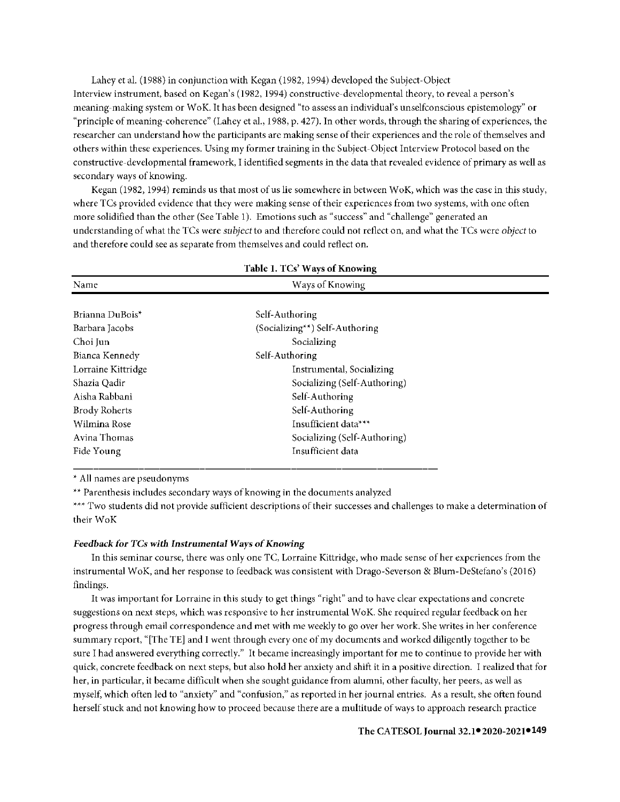Lahey ct al. (1988) in conjunction with Kcgan (1982, 1994) developed the Subject-Object lnterview instrument, based on Kegan's (1982, 1994) constructive-developmental theory, to reveal a person's meaning-making system or WoK. lthas been designed "to assess an individual's unselfconscious epistemology" or "principle of meaning-coherence" (Lahey et al., 1988, p. 427). ln other words, through the sharing of experiences, the researcher can understand how the participants arc making sense of their experiences and the role of themselves and others within these experiences. Using my former training in the Subject-Object lnterview Protocol based on the constructive-developmental framework, l identified segments in the data that revealed evidence of primary as well as secondary ways of knowing.

Kegan (1982, 1994) reminds us that most of us lie somewhere in between WoK, which was the case in this study, where TCs provided evidence that they were making sense of their experiences from two systems, with one often more solidified than the other (See Table 1). Emotions such as "success" and "challenge" generated an understanding of what the TCs were *subject* to and therefore could not reflect on, and what the TCs were *object* to and therefore could see as separate from themselves and could reflect on.

| Table 1. TCs' Ways of Knowing |                                |  |  |
|-------------------------------|--------------------------------|--|--|
| Name                          | Ways of Knowing                |  |  |
|                               |                                |  |  |
| Brianna DuBois*               | Self-Authoring                 |  |  |
| Barbara Jacobs                | (Socializing**) Self-Authoring |  |  |
| Choi Jun                      | Socializing                    |  |  |
| Bianca Kennedy                | Self-Authoring                 |  |  |
| Lorraine Kittridge            | Instrumental, Socializing      |  |  |
| Shazia Qadir                  | Socializing (Self-Authoring)   |  |  |
| Aisha Rabbani                 | Self-Authoring                 |  |  |
| <b>Brody Roherts</b>          | Self-Authoring                 |  |  |
| Wilmina Rose                  | Insufficient data***           |  |  |
| Avina Thomas                  | Socializing (Self-Authoring)   |  |  |
| Fide Young                    | Insufficient data              |  |  |

\* All names are pseudonyms

\*\* Parenthesis includes secondary ways of knowing **in** the documents analyzed

\*\*\* Two students **did** not provide sufficient descriptions of their successes and challenges to make a determination of their WoK

#### *Feedback for TCs with Instrumental Ways of Knowing*

ln this seminar course, there was only one TC, Lorraine Kittridge, who made sense of her experiences from the instrumental WoK, and her response to feedback was consistent with Drago-Severson & Blum-DeStefano's (2016) findings.

It was important for Lorraine in this study to get things "right" and to have clear expectations and concrete suggestions on next steps, which was responsive to her instrumental WoK. She required regular feedback on her progress through email correspondence and met with me weekly to go over her work. She writes in her conference summary report, "[The TE] and I went through every one of my documents and worked diligently together to be sure I had answered everything correctly." It became increasingly important for me to continue to provide her with quick, concrete feedback on next steps, but also hold her anxiety and shift it in a positive direction. l realized that for her, in particular, it became difficult when she sought guidance from alumni, other faculty, her peers, as well as myself, which often led to "anxiety" and "confusion," as reported in her journal entries. *As* a result, she often found herself stuck and not knowing how to proceed because there are a multitude of ways to approach research practice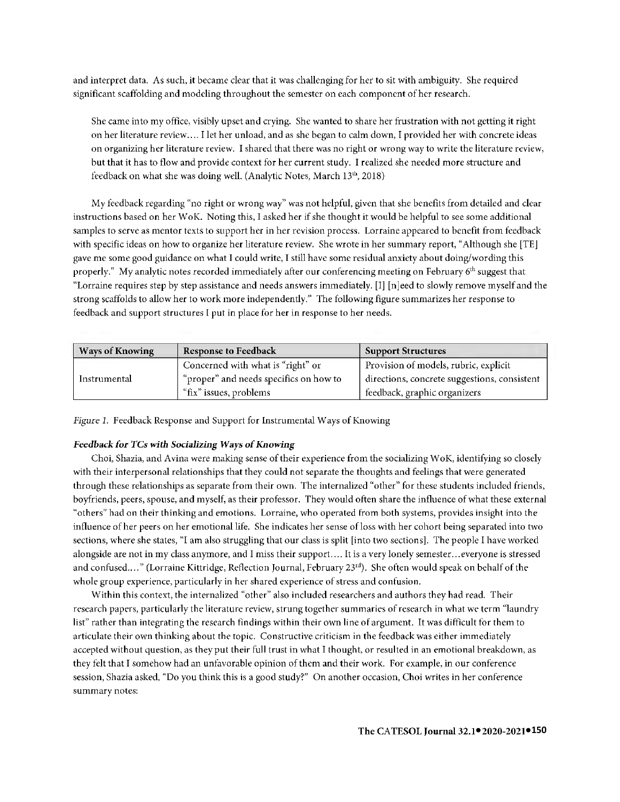and interpret data. As such, it became clear that it was challenging for her to sit with ambiguity. She required significant scaffolding and modeling throughout the semester on each component of her research.

She came into my office, visibly upset and crying. She wanted to share her frustration with not getting it right on her literature review .... I let her unload, and as she began to calm down, I provided her with concrete ideas on organizing her literature review. I shared that there was no right or wrong way to write the literature review, but that it has to flow and provide context for her current study. I realized she needed more structure and feedback on what she was doing well. (Analytic Notes, March  $13<sup>th</sup>$ , 2018)

My feedback regarding "no right or wrong way" was not helpful, given that she benefits from detailed and clear instructions based on her W oK. Noting this, I asked **her** if she thought it would be helpful to see some additional samples to serve as mentor texts to support her in her revision process. Lorraine appeared to benefit from feedback with specific ideas on how to organize her literature review. She wrote in her summary report, "Although she [TE] gave me some good guidance on what I could write, I still have some residual anxiety about doing/wording this properly." My analytic notes recorded immediately after our conferencing meeting on February  $6<sup>th</sup>$  suggest that "Lorraine requires step by step assistance and needs answers immediately. [I]  $[n]$ eed to slowly remove myself and the strong scaffolds to allow her to work more independently." The following figure summarizes her response to feedback and support structures I put in place for her in response to her needs.

| <b>Ways of Knowing</b> | <b>Response to Feedback</b>            | <b>Support Structures</b>                    |
|------------------------|----------------------------------------|----------------------------------------------|
|                        | Concerned with what is "right" or      | Provision of models, rubric, explicit        |
| Instrumental           | "proper" and needs specifics on how to | directions, concrete suggestions, consistent |
|                        | "fix" issues, problems                 | feedback, graphic organizers                 |

*Figure 1.* Feedback Response and Support for Instrumental Ways of Knowing

# *Feedback for TCs with Socializing Ways of Knowing*

Choi, Shazia, and Avina were making sense of their experience from the socializing W oK, identifying so closely with their interpersonal relationships that they could not separate the thoughts and feelings that were generated through these relationships as separate from their own. The internalized "other" for these students included friends, boyfriends, peers, spouse, and myself, as their professor. They would often share the influence of what these external "others" had on their thinking and emotions. Lorraine, who operated from both systems, provides insight into the influence of her peers on her emotional life. She indicates her sense ofloss with her cohort being separated into two sections, where she states, "I am also struggling that our class is split [into two sections]. The people I have worked alongside are not in my class anymore, and I miss their support.... It is a very lonely semester... everyone is stressed and confused...." (Lorraine Kittridge, Reflection Journal, February 23<sup>rd</sup>). She often would speak on behalf of the whole group experience, particularly in her shared experience of stress and confusion.

Within this context, the internalized "other" also included researchers and authors they had read. Their research papers, particularly the literature review, strung together summaries of research in what we term "laundry list" rather than integrating the research findings within their own line of argument. It was difficult for them to articulate their own thinking about the topic. Constructive criticism in the feedback was either immediately accepted without question, as they put their full trust in what I thought, or resulted in an emotional breakdown, as they felt that I somehow had an unfavorable opinion of them and their work. For example, in our conference session, Shazia asked, "Do you think this is a good study?" On another occasion, Choi writes in her conference summary notes: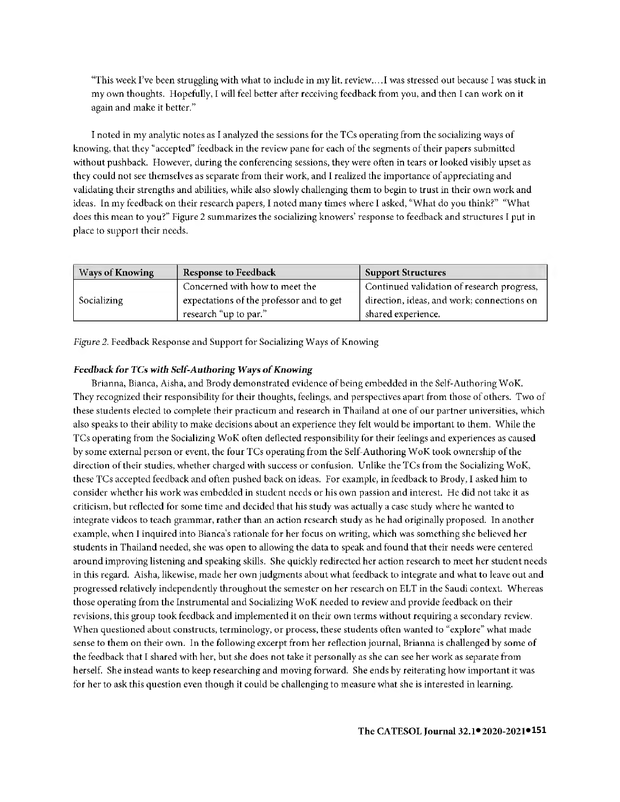"This week I've been struggling with what to include in my lit. review....I was stressed out because I was stuck in my own thoughts. Hopefully, I will feel better after receiving feedback from you, and then I can work on it again and make it better."

I noted in my analytic notes as I analyzed the sessions for the TCs operating from the socializing ways of knowing, that they "accepted" feedback in the review pane for each of the segments of their papers submitted without pushback. However, during the conferencing sessions, they were often in tears or looked visibly upset as they could not see themselves as separate from their work, and I realized the importance of appreciating and validating their strengths and abilities, while also slowly challenging them to begin to trust in their own work and ideas. In my feedback on their research papers, I noted many times where I asked, "What do you think?" "What does this mean to you?" Figure 2 summarizes the socializing knowers' response to feedback and structures I put in place to support their needs.

| <b>Ways of Knowing</b> | <b>Response to Feedback</b>              | <b>Support Structures</b>                  |
|------------------------|------------------------------------------|--------------------------------------------|
|                        | Concerned with how to meet the           | Continued validation of research progress, |
| Socializing            | expectations of the professor and to get | direction, ideas, and work; connections on |
|                        | research "up to par."                    | shared experience.                         |

*Figure 2.* Feedback Response and Support for Socializing Ways of Knowing

# *Feedback for TCs with Self-Authoring* **Ways of** *Knowing*

Brianna, Bianca, Aisha, and Brody demonstrated evidence of being embedded in the Self-Authoring WoK. They recognized their responsibility for their thoughts, feelings, and perspectives apart from those of others. Two of these students elected to complete their practicum and research in Thailand at one of our partner universities, which also speaks to their ability to make decisions about an experience they felt would be important to them. While the TCs operating from the Socializing WoK often deflected responsibility for their feelings and experiences as caused by some external person or event, the four TCs operating from the Self-Authoring WoK took ownership of the direction of their studies, whether charged with success or confusion. Unlike the TCs from the Socializing WoK, these TCs accepted feedback and often pushed back on ideas. For example, in feedback to Brody, I asked him to consider whether his work was embedded in student needs or his own passion and interest. He did not take it as criticism, but reflected for some time and decided that his study was actually a case study where he wanted to integrate videos to teach grammar, rather than an action research study as he had originally proposed. In another example, when I inquired into Bianca's rationale for her focus on writing, which was something she believed her students in Thailand needed, she was open to allowing the data to speak and found that their needs were centered around improving listening and speaking skills. She quickly redirected her action research to meet her student needs in this regard. Aisha, likewise, made her own judgments about what feedback to integrate and what to leave out and progressed relatively independently throughout the semester on her research on ELT in the Saudi context. Whereas those operating from the Instrumental and Socializing WoK needed to review and provide feedback on their revisions, this group took feedback and implemented it on their own terms without requiring a secondary review. When questioned about constructs, terminology, or process, these students often wanted to "explore" what made sense to them on their own. In the following excerpt from her reflection journal, Brianna is challenged by some of the feedback that I shared with her, but she does not take it personally as she can see her work as separate from herself. She instead wants to keep researching and moving forward. She ends by reiterating how important it was for her to ask this question even though it could be challenging to measure what she is interested in learning.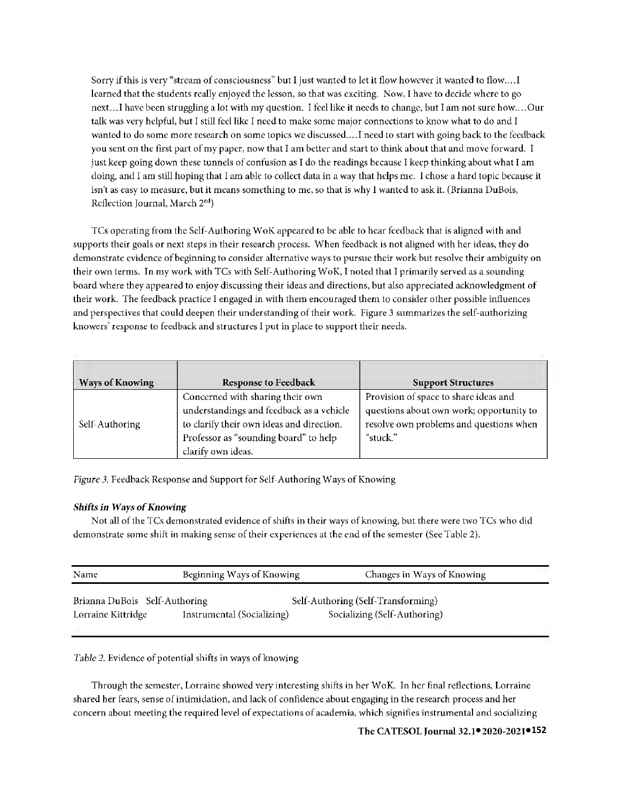Sorry if this is very "stream of consciousness" but I just wanted to let it flow however it wanted to flow .... I learned that the students really enjoyed the lesson, so that was exciting. Now, I have to decide where to go next ... I have been struggling a lot with my question. I feel like **it** needs to change, but I am not sure how .... Our talk was very helpful, but I still feel like I need to make some major connections to know what to do and I wanted to do some more research on some topics we discussed .... ! need to start with going back to the feedback you sent on the first part of my paper, now that I am better and start to think about that and move forward. I just keep going down these tunnels of confusion as I do the readings because I keep thinking about what I am doing, and I am still hoping that I am able to collect data in a way that helps me. I chose a hard topic because **it**  isn't as easy to measure, but it means something to me, so that is why I wanted to ask it. (Brianna DuBois, Reflection Journal, March 2nd)

TCs operating from the Self-Authoring WoK appeared to be able to hear feedback that is aligned with and supports their goals or next steps in their research process. When feedback is not aligned with her ideas, they do demonstrate evidence of beginning to consider alternative ways to pursue their work but resolve their ambiguity on their own terms. In my work with TCs with Self-Authoring WoK, I noted that I primarily served as a sotmding board where they appeared to enjoy discussing their ideas and directions, but also appreciated acknowledgment of their work. The feedback practice I engaged in with them encouraged them to consider other possible influences and perspectives that could deepen their understanding of their work. Figure 3 summarizes the self-authorizing knowers' response to feedback and structures I put in place to support their needs.

| <b>Ways of Knowing</b> | <b>Response to Feedback</b>                                                                                                                                                              | <b>Support Structures</b>                                                                                                                |
|------------------------|------------------------------------------------------------------------------------------------------------------------------------------------------------------------------------------|------------------------------------------------------------------------------------------------------------------------------------------|
| Self-Authoring         | Concerned with sharing their own<br>understandings and feedback as a vehicle<br>to clarify their own ideas and direction.<br>Professor as "sounding board" to help<br>clarify own ideas. | Provision of space to share ideas and<br>questions about own work; opportunity to<br>resolve own problems and questions when<br>"stuck." |

Figure 3. Feedback Response and Support for Self-Authoring Ways of Knowing

# *Shifts in Ways of Knowing*

Not all of the TCs demonstrated evidence of shifts in their ways of knowing, but there were two TCs who did demonstrate some shift in making sense of their experiences at the end of the semester (See Table 2).

| Name                          | Beginning Ways of Knowing  | Changes in Ways of Knowing         |
|-------------------------------|----------------------------|------------------------------------|
| Brianna DuBois Self-Authoring |                            | Self-Authoring (Self-Transforming) |
| Lorraine Kittridge            | Instrumental (Socializing) | Socializing (Self-Authoring)       |

*Table 2.* Evidence of potential shifts in ways of knowing

Through the semester, Lorraine showed very interesting shifts in her WoK. In her final reflections, Lorraine shared her fears, sense of intimidation, and lack of confidence about engaging in the research process and her concern about meeting the required level of expectations of academia, which signifies instrumental and socializing

**● ●152 The CATESOL Journal** 32.1 **2020-2021**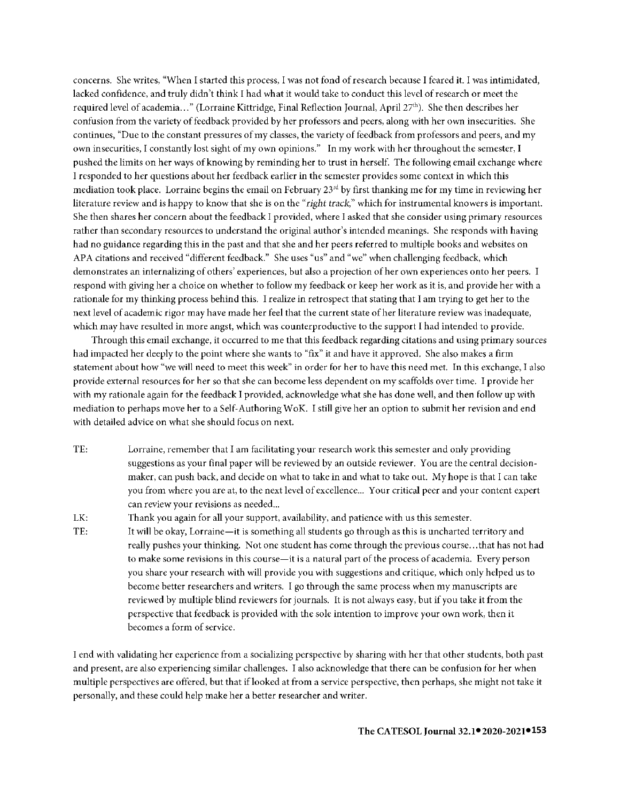concerns. She writes, "When I started this process, I was not fond of research because I feared it. I was intimidated, lacked confidence, and truly didn't think I had what it would take to conduct this level of research or meet the required level of academia ... " (Lorraine Kittridge, Final Reflection Journal, April 27th). She then describes her confusion from the variety of feedback provided by her professors and peers, along with her own insecurities. She continues, "Due to the constant pressures of my classes, the variety of feedback from professors and peers, and my own insecurities, I constantly lost sight of my own opinions." In my work with her throughout the semester, I pushed the limits on her ways of knowing by reminding her to trust in herself. The following email exchange where I responded to her questions about her feedback earlier in the semester provides some context in which this mediation took place. Lorraine begins the email on February 23rd by first thanking me for my time in reviewing her literature review and is happy to know that she is on the *"right track,"* which for instrumental knowers is important. She then shares her concern about the feedback I provided, where I asked that she consider using primary resources rather than secondary resources to understand the original author's intended meanings. She responds with having had no guidance regarding this in the past and that she and her peers referred to multiple books and websites on APA citations and received "different feedback." She uses "us" and "we" when challenging feedback, which demonstrates an internalizing of others' experiences, but also a projection of her own experiences onto her peers. respond with giving her a choice on whether to follow my feedback or keep her work as it is, and provide her with a rationale for my thinking process behind this. I realize in retrospect that stating that I am trying to get her to the next level of academic rigor may have made her feel that the current state of her literature review was inadequate, which may have resulted in more angst, which was counterproductive to the support I had intended to provide.

Through this email exchange, it occurred to me that this feedback regarding citations and using primary sources had impacted her deeply to the point where she wants to "fix" it and have it approved. She also makes a firm statement about how "we will need to meet this week" in order for her to have this need met. In this exchange, I also provide external resources for her so that she can become less dependent on my scaffolds over time. I provide her with my rationale again for the feedback I provided, acknowledge what she has done well, and then follow up with mediation to perhaps move her to a Self-Authoring WoK. I still give her an option to submit her revision and end with detailed advice on what she should focus on next.

TE: Lorraine, remember that I am facilitating your research work this semester and only providing suggestions as your final paper will be reviewed by an outside reviewer. You are the central decisionmaker, can push back, and decide on what to take in and what to take out. My hope is that I can take you from where you are at, to the next level of excellence... Your critical peer and your content expert can review your revisions as needed...

LK: Thank you again for all your support, availability, and patience with us this semester.

TE: It will be okay, Lorraine-it is something all students go through as this is uncharted territory and really pushes your thinking. Not one student has come through the previous course ... that has not had to make some revisions in this course-it is a natural part of the process of academia. Every person you share your research with will provide you with suggestions and critique, which only helped us to become better researchers and writers. I go through the same process when my manuscripts are reviewed by multiple blind reviewers for journals. It is not always easy, but if you take it from the perspective that feedback is provided with the sole intention to improve your own work, then it becomes a form of service.

I end with validating her experience from a socializing perspective by sharing with her that other students, both past and present, are also experiencing similar challenges. I also acknowledge that there can be confusion for her when multiple perspectives are offered, but that iflooked at from a service perspective, then perhaps, she might not take **it**  personally, and these could help make her a better researcher and writer.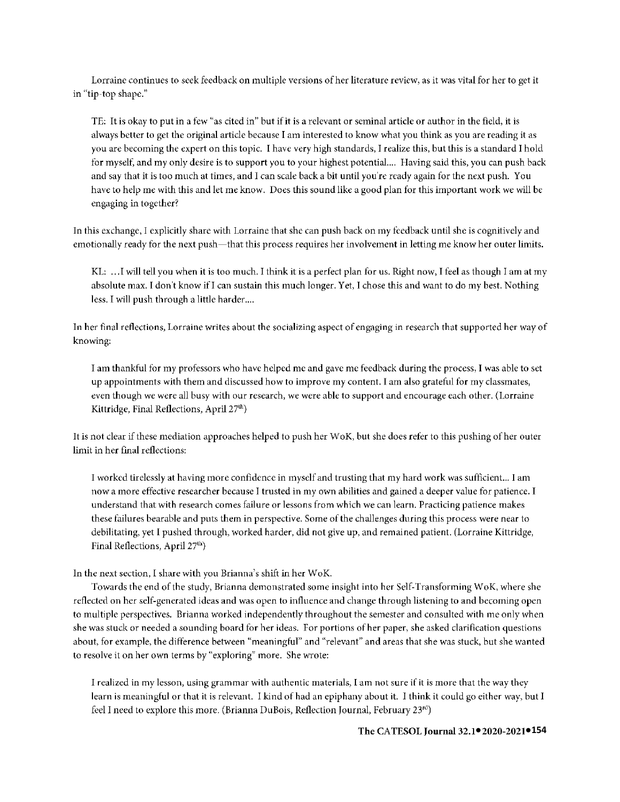Lorraine continues to seek feedback on multiple versions of her literature review, as it was vital for her to get it in "tip~top shape."

TE: It is okay to put in a few "as cited in" but if it is a relevant or seminal article or author in the field, it is always better to get the original article because I am interested to know what you think as you are reading it as you arc becoming the expert on this topic. I have very high standards, I realize this, but this is a standard I hold for myself, and my only desire is to support you to your highest potential .... Having said this, you can push back and say that it is too much at times, and I can scale back a bit until you're ready again for the next push. You have to help me with this and let me know. Docs this sound like a good plan for this important work we will be engaging in together?

In this exchange, I explicitly share with Lorraine that she can push back on my feedback until she is cognitively and emotionally ready for the next push-that this process requires her involvement in letting me know her outer limits.

KL: ... I will tell you when it is too much. I think it is a perfect plan for us. Right now, I feel as though I am at my absolute max. I don't know ifl can sustain this much longer. Yet, I chose this and want to do my best. Nothing less. I will push through a little harder....

In her final reflections, Lorraine writes about the socializing aspect of engaging in research that supported her way of knowing:

I am thankful for my professors who have helped me and gave me feedback during the process, I was able to set up appointments with them and discussed how to improve my content. I am also grateful for my classmates, even though we were all busy with our research, we were able to support and encourage each other. (Lorraine Kittridge, Final Reflections, April  $27<sup>th</sup>$ )

It is not clear if these mediation approaches helped to push her WoK, but she does refer to this pushing of her outer limit in her final reflections:

I worked tirelessly at having more confidence in myself and trusting that my hard work was sufficient... I am now a more effective researcher because I trusted in my own abilities and gained a deeper value for patience. I understand that with research comes failure or lessons from which we can learn. Practicing patience makes these failures bearable and puts them in perspective. Some of the challenges during this process were near to debilitating, yet I pushed through, worked harder, did not give up, and remained patient. (Lorraine Kittridge, Final Reflections, April 27<sup>th</sup>)

In the next section, I share with you Brianna's shift in her WoK.

Towards the end of the study, Brianna demonstrated some insight into her Self-Transforming WoK, where she reflected on her self-generated ideas and was open to influence and change through listening to and becoming open to multiple perspectives. Brianna worked independently throughout the semester and consulted with me only when she was stuck or needed a sounding board for her ideas. For portions of her paper, she asked clarification questions about, for example, the difference between "meaningful" and "relevant" and areas that she was stuck, but she wanted to resolve it on her own terms by "exploring" more. She wrote:

I realized in my lesson, using grammar with authentic materials, I am not sure if it is more that the way they learn is meaningful or that it is relevant. I kind of had an epiphany about it. I think it could go either way, but I feel I need to explore this more. (Brianna DuBois, Reflection Journal, February 23rd)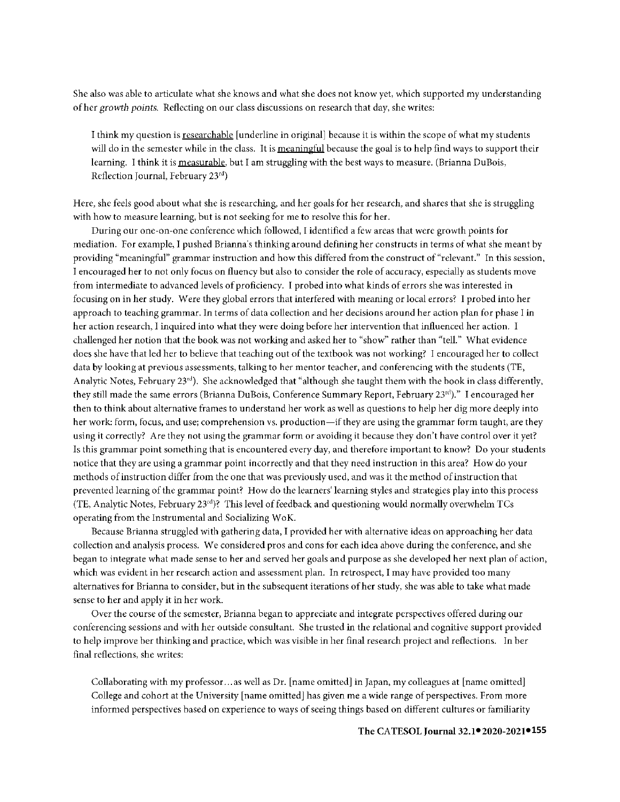She also was able to articulate what she knows and what she docs not know yet, which supported my understanding of her *growth points.* Reflecting on our class discussions on research that day, she writes:

I think my question is researchable [underline in original] because it is within the scope of what my students will do in the semester while in the class. It is meaningful because the goal is to help find ways to support their learning. I think it is measurable, but I am struggling with the best ways to measure. (Brianna DuBois, Reflection Journal, February 23rd)

Here, she feels good about what she is researching, and her goals for her research, and shares that she is struggling with how to measure learning, but is not seeking for me to resolve this for her.

During our one-on-one conference which followed, I identified a few areas that were growth points for mediation. For example, I pushed Brianna·s thinking around defining her constructs in terms of what she meant by providing "meaningful" grammar instruction and how this differed from the construct of "relevant." In this session, I encouraged her to not only focus on fluency but also to consider the role of accuracy, especially as students move from intermediate to advanced levels of proficiency. I probed into what kinds of errors she was interested in focusing on in her study. Were they global errors that interfered with meaning or local errors? I probed into her approach to teaching grammar. In terms of data collection and her decisions around her action plan for phase I in her action research, I inquired into what they were doing before her intervention that influenced her action. I challenged her notion that the book was not working and asked her to "show" rather than "tell." What evidence does she have that led her to believe that teaching out of the textbook was not working? I encouraged her to collect data by looking at previous assessments, talking to her mentor teacher, and conferencing with the students (TE, Analytic Notes, February 23rd). She acknowledged that "although she taught them with the book in class differently, they still made the same errors (Brianna DuBois, Conference Summary Report, February 23<sup>rd</sup>)." I encouraged her then to think about alternative frames to understand her work as well as questions to help her dig more deeply into her work: form, focus, and use; comprehension vs. production—if they are using the grammar form taught, are they using it correctly? Are they not using the grammar form or avoiding it because they don't have control over it yet? Is this grammar point something that is encountered every day, and therefore important to know? Do your students notice that they are using a grammar point incorrectly and that they need instruction in this area? How do your methods of instruction differ from the one that was previously used, and was it the method of instruction that prevented learning of the grammar point? How do the learners' learning styles and strategies play into this process (TE, Analytic Notes, February 23rd)? This level of feedback and questioning would normally overwhelm TCs operating from the Instrumental and Socializing WoK.

Because Brianna struggled with gathering data, I provided her with alternative ideas on approaching her data collection and analysis process. We considered pros and cons for each idea above during the conference, and she began to integrate what made sense to her and served her goals and purpose as she developed her next plan of action, which was evident in her research action and assessment plan. In retrospect, I may have provided too many alternatives for Brianna to consider, but in the subsequent iterations of her study, she was able to take what made sense to her and apply it in her work.

Over the course of the semester, Brianna began to appreciate and integrate perspectives offered during our conferencing sessions and with her outside consultant. She trusted in the relational and cognitive support provided to help improve her thinking and practice, which was visible in her final research project and reflections. In her final reflections, she writes:

Collaborating with my professor. .. as well as Dr. [name omitted] in Japan, my colleagues at [name omitted] College and cohort at the University [name omitted] has given me a wide range of perspectives. From more informed perspectives based on experience to ways of seeing things based on different cultures or familiarity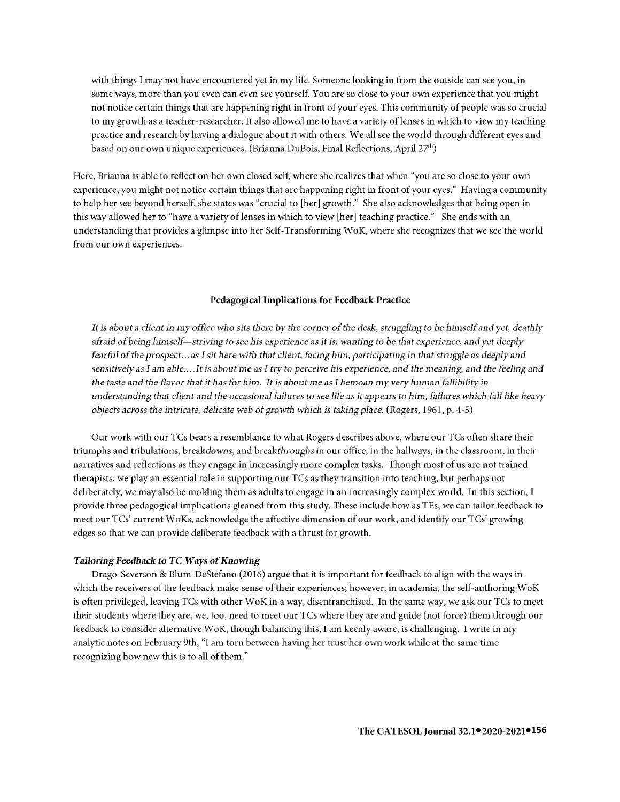with things I may not have encountered yet in my life. Someone looking in from the outside can see you, in some ways, more than you even can even see yourself. You are so close to your own experience that you might not notice certain things that are happening right in front of your eyes. This community of people was so crucial to my growth as a teacher-researcher. It also allowed me to have a variety oflenses in which to view my teaching practice and research by having a dialogue about it with others. We all see the world through different eyes and based on our own unique experiences. (Brianna DuBois, Final Reflections, April 27<sup>th</sup>)

Here, Brianna is able to reflect on her own closed self, where she realizes that when "you are so close to your own experience, you might not notice certain things that are happening right in front of your eyes." Having a community to help her see beyond herself, she states was "crucial to [her] growth." She also acknowledges that being open in this way allowed her to "have a variety of lenses in which to view [her] teaching practice." She ends with an understanding that provides a glimpse into her Self-Transforming W oK, where she recognizes that we see the world from our own experiences.

## **Pedagogical Implications for Feedback Practice**

*It* is *about a client in* my *office who sits there by the comer of the desk, struggling to be himself and yet, deathly afraid of being himself-striving to see his experience as it is, wanting to be that experience,* and *yet deeply fearful of the prospect... as I sit here with that client, facing him, participating in that struggle as deeply and sensitively* as *I* am *able .... It* is *about me* as *I try to perceive his experience,* and *the meaning,* and *the feeling and the taste and the flavor that it has* for *him. It is about* me *as I bemoan* my *very human fallibility in understanding that client and the* occasional *failures to see* life *as it appears to him, failures which fall like heavy objects across the intricate, delicate web of growth which is taking place.* (Rogers, 1961, p. 4-5)

Our work with our TCs bears a resemblance to what Rogers describes above, where our TCs often share their triumphs and tribulations, breakdowns, and breakthroughs in our office, in the hallways, in the classroom, in their narratives and reflections as they engage in increasingly more complex tasks. Though most of us are not trained therapists, we play an essential role in supporting our TCs as they transition into teaching, but perhaps not deliberately, we may also be molding them as adults to engage in an increasingly complex world. In this section, I provide three pedagogical implications gleaned from this study. These include how as TEs, we can tailor feedback to meet our TCs' current WoKs, acknowledge the affective dimension of our work, and identify our TCs' growing edges so that we can provide deliberate feedback with a thrust for growth.

#### *Tailoring Feedback to TC Ways of Knowing*

Drago-Severson & Blum-DeStefano (2016) argue that **it** is important for feedback to align with the ways in which the receivers of the feedback make sense of their experiences; however, **in** academia, the self-authoring WoK is often privileged, leaving TCs with other WoK in a way, disenfranchised. In the same way, we ask our TCs to meet their students where they are, we, too, need to meet our TCs where they are and guide (not force) them through our feedback to consider alternative WoK, though balancing this, I am keenly aware, is challenging. I write in my analytic notes on February 9th, "I am torn between having her trust her own work while at the same time recognizing how new this is to all of them."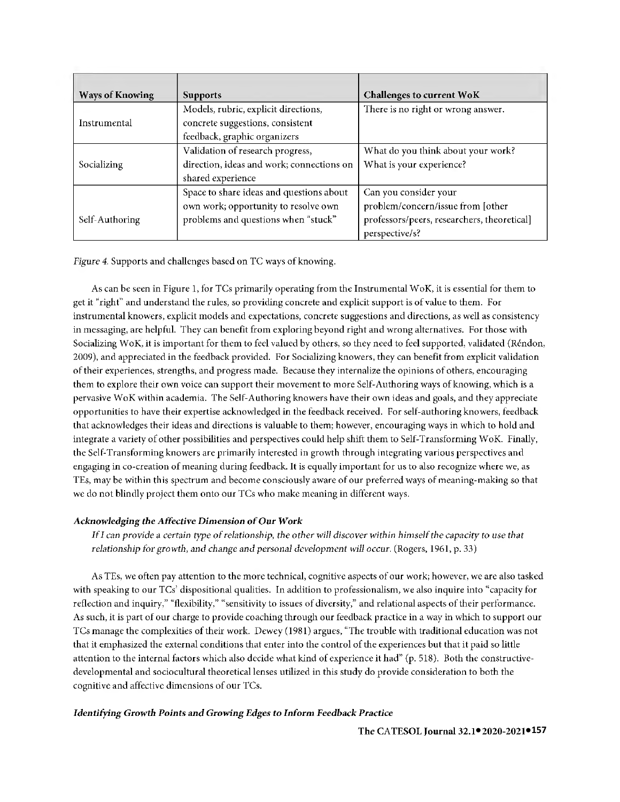| <b>Ways of Knowing</b><br><b>Supports</b> |                                           | Challenges to current WoK                   |
|-------------------------------------------|-------------------------------------------|---------------------------------------------|
|                                           | Models, rubric, explicit directions,      | There is no right or wrong answer.          |
| Instrumental                              | concrete suggestions, consistent          |                                             |
|                                           | feedback, graphic organizers              |                                             |
|                                           | Validation of research progress,          | What do you think about your work?          |
| Socializing                               | direction, ideas and work; connections on | What is your experience?                    |
|                                           | shared experience                         |                                             |
|                                           | Space to share ideas and questions about  | Can you consider your                       |
|                                           | own work; opportunity to resolve own      | problem/concern/issue from [other           |
| Self-Authoring                            | problems and questions when "stuck"       | professors/peers, researchers, theoretical] |
|                                           |                                           | perspective/s?                              |

*Figure 4.* Supports and challenges based on TC ways of knowing.

As can be seen in Figure l, for TCs primarily operating from the Instrumental WoK, it is essential for them to get it "right" and understand the rules, so providing concrete and explicit support is of value to them. For instrumental knowers, explicit models and expectations, concrete suggestions and directions, as well as consistency in messaging, are helpful. They can benefit from exploring beyond right and wrong alternatives. For those with Socializing WoK, it is important for them to feel valued by others, so they need to feel supported, validated (Réndon, 2009), and appreciated in the feedback provided. For Socializing knowers, they can benefit from explicit validation of their experiences, strengths, and progress made. Because they internalize the opinions of others, encouraging them to explore their own voice can support their movement to more Self-Authoring ways of knowing, which is a pervasive WoK within academia. The Self-Authoring knowers have their own ideas and goals, and they appreciate opportunities to have their expertise acknowledged in the feedback received. For self-authoring knowers, feedback that acknowledges their ideas and directions is valuable to them; however, encouraging ways in which to hold and integrate a variety of other possibilities and perspectives could help shift them to Self-Transforming WoK. Finally, the Self-Transforming knowers are primarily interested in growth through integrating various perspectives and engaging **in** co-creation of meaning during feedback. It is equally important for us to also recognize where we, as TEs, may be within this spectrum and become consciously aware of our preferred ways of meaning-making so that we do not blindly project them onto our TCs who make meaning in different ways.

# *Acknowledging the Affective Dimension of* **Our** *Work*

*If I can provide a certain type of relationship, the other will discover within himself the capacity to use that relationship for growth, and change and personal development will occur.* (Rogers, 1961, p. 33)

As TEs, we often pay attention to the more technical, cognitive aspects of our work; however, we are also tasked with speaking to our TCs' dispositional qualities. In addition to professionalism, we also inquire into "capacity for reflection and inquiry," "flexibility," "sensitivity to issues of diversity," and relational aspects of their performance. As such, it is part of our charge to provide coaching through our feedback practice in a way in which to support our TCs manage the complexities of their work. Dewey ( 1981) argues, "The trouble with traditional education was not that **it** emphasized the external conditions that enter into the control of the experiences but that it paid so little attention to the internal factors which also decide what kind of experience it had" (p. 518). Both the constructivedevelopmental and sociocultural theoretical lenses utilized in this study do provide consideration to both the cognitive and affective dimensions of our TCs.

# *Identifying Growth Points and Growing Edges to Inform Feedback Practice*

**● ●157 The CATESOL Journal** 32.1 **2020-2021**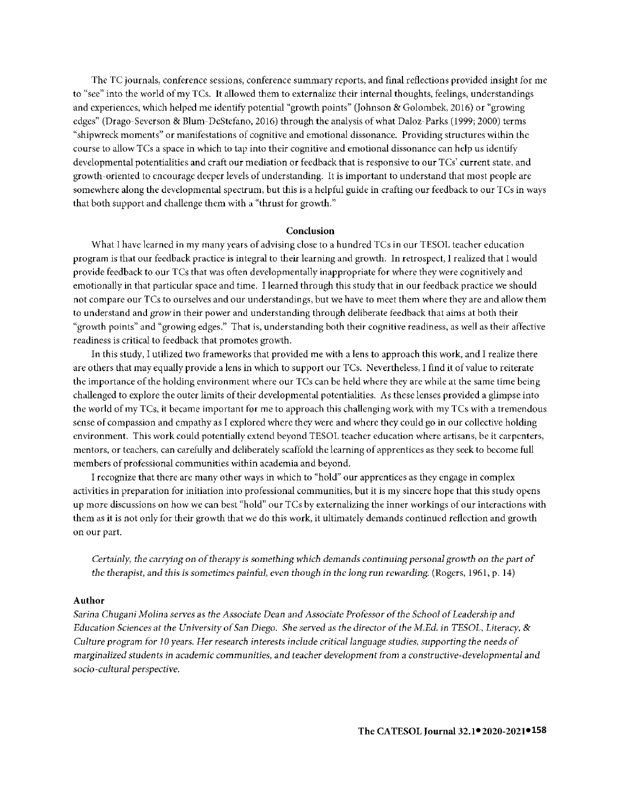The TC journals, conference sessions, conference summary reports, and final reflections provided insight for me to "see" into the world of my TCs. It allowed them to externalize their internal thoughts, feelings, understandings and experiences, which helped me identify potential "growth points" (Johnson & Golombek, 2016) or "growing edges" (Drago-Severson & Blum-DeStefano, 2016) through the analysis of what Daloz-Parks ( 1999; 2000) terms "shipwreck moments" or manifestations of cognitive and emotional dissonance. Providing structures within the course to allow *TCs* a space in which to tap into their cognitive and emotional dissonance can help us identify developmental potentialities and craft our mediation or feedback that is responsive to our TCs' current state, and growth-oriented to encourage deeper levels of understanding. It is important to understand that most people are somewhere along the developmental spectrum, **but** this is a helpful guide **in** crafting our feedback to our TCs in ways that both support and challenge them with a "thrust for growth."

#### **Conclusion**

What I have learned in my many years of advising close to a hundred TCs in our TESOL teacher education program is that our feedback practice is integral to their learning and growth. In retrospect, l realized that l would provide feedback to our TCs that was often developmentally inappropriate for where they were cognitively and emotionally in that particular space and time. l learned through this study that in our feedback practice we should not compare our TCs to ourselves and our understandings, but we have to meet them where they are and allow them to understand and *grow* in their power and understanding through deliberate feedback that aims at both their "growth points" and "growing edges." That is, understanding both their cognitive readiness, as well as their affective readiness is critical to feedback that promotes growth.

In this study, I utilized two frameworks that provided me with a lens to approach this work, and l realize there are others that may equally provide a lens in which to support our TCs. Nevertheless, l find **it** of value to reiterate the importance of the holding environment where our TCs can be held where they are while at the same time being challenged to explore the outer limits of their developmental potentialities. As these lenses provided a glimpse into the world of my TCs, it became important for me to approach this challenging work with my TCs with a tremendous sense of compassion and empathy as I explored where they were and where they could go in our collective holding environment. This work could potentially extend beyond TESOL teacher education where artisans, be it carpenters, mentors, or teachers, can carefully and deliberately scaffold the learning of apprentices as they seek to become full members of professional communities within academia and beyond.

l recognize that there are many other ways in which to "hold" our apprentices as they engage in complex activities **in** preparation for initiation into professional communities, but it is my sincere hope that this study opens up more discussions on how we can best "hold" our TCs by externalizing the inner workings of our interactions with them as it is not only for their growth that we do this work, it ultimately demands continued reflection and growth on our part.

*Certainly, the carrying on of therapy is something which demands continuing personal growth on the part of the therapist,* and *this is sometimes painful, even though in the long run rewarding.* (Rogers, 1961, p. 14)

# **Author**

*Sarina Chugani Molina serves as the Associate Dean and Associate Professor of the School of Leadership and Education Sciences at the University of San Diego. She served as the director of the M.Ed.* in *TESOL, Literacy,* & *Culture program for 10 years. Her research interests include critical language studies, supporting the needs of marginalized students in academic communities, and teacher development from a constructive-developmental and socio-cultural perspective.*